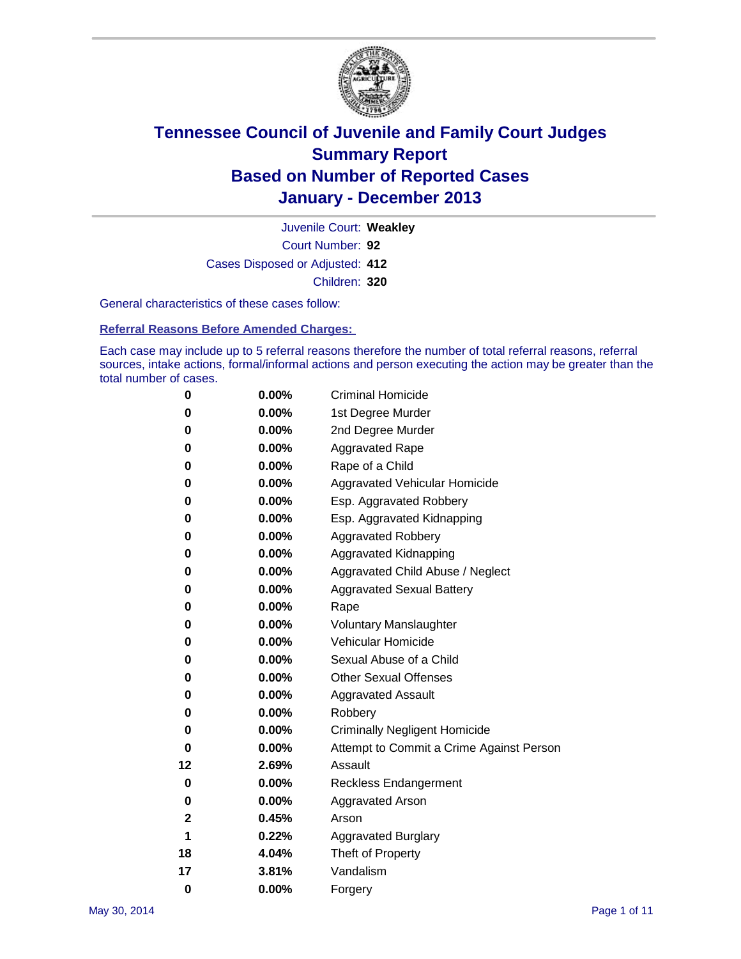

Court Number: **92** Juvenile Court: **Weakley** Cases Disposed or Adjusted: **412** Children: **320**

General characteristics of these cases follow:

**Referral Reasons Before Amended Charges:** 

Each case may include up to 5 referral reasons therefore the number of total referral reasons, referral sources, intake actions, formal/informal actions and person executing the action may be greater than the total number of cases.

| 0        | $0.00\%$ | <b>Criminal Homicide</b>                 |
|----------|----------|------------------------------------------|
| 0        | 0.00%    | 1st Degree Murder                        |
| 0        | 0.00%    | 2nd Degree Murder                        |
| 0        | $0.00\%$ | <b>Aggravated Rape</b>                   |
| 0        | 0.00%    | Rape of a Child                          |
| 0        | 0.00%    | <b>Aggravated Vehicular Homicide</b>     |
| 0        | $0.00\%$ | Esp. Aggravated Robbery                  |
| 0        | 0.00%    | Esp. Aggravated Kidnapping               |
| 0        | 0.00%    | <b>Aggravated Robbery</b>                |
| 0        | $0.00\%$ | Aggravated Kidnapping                    |
| 0        | 0.00%    | Aggravated Child Abuse / Neglect         |
| 0        | 0.00%    | <b>Aggravated Sexual Battery</b>         |
| 0        | $0.00\%$ | Rape                                     |
| 0        | 0.00%    | <b>Voluntary Manslaughter</b>            |
| 0        | 0.00%    | Vehicular Homicide                       |
| 0        | 0.00%    | Sexual Abuse of a Child                  |
| 0        | 0.00%    | <b>Other Sexual Offenses</b>             |
| 0        | 0.00%    | <b>Aggravated Assault</b>                |
| 0        | 0.00%    | Robbery                                  |
| 0        | 0.00%    | <b>Criminally Negligent Homicide</b>     |
| 0        | 0.00%    | Attempt to Commit a Crime Against Person |
| 12       | 2.69%    | Assault                                  |
| 0        | 0.00%    | <b>Reckless Endangerment</b>             |
| 0        | 0.00%    | <b>Aggravated Arson</b>                  |
| 2        | 0.45%    | Arson                                    |
| 1        | 0.22%    | <b>Aggravated Burglary</b>               |
| 18       | 4.04%    | Theft of Property                        |
| 17       | 3.81%    | Vandalism                                |
| $\bf{0}$ | 0.00%    | Forgery                                  |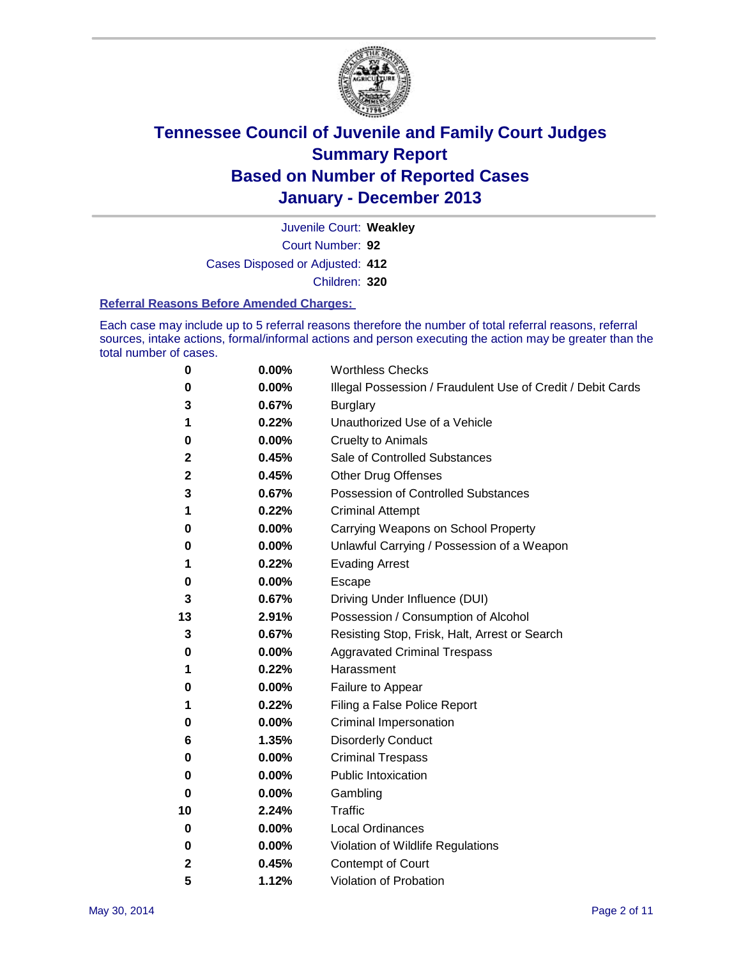

Court Number: **92** Juvenile Court: **Weakley** Cases Disposed or Adjusted: **412** Children: **320**

#### **Referral Reasons Before Amended Charges:**

Each case may include up to 5 referral reasons therefore the number of total referral reasons, referral sources, intake actions, formal/informal actions and person executing the action may be greater than the total number of cases.

| 0  | 0.00% | <b>Worthless Checks</b>                                     |
|----|-------|-------------------------------------------------------------|
| 0  | 0.00% | Illegal Possession / Fraudulent Use of Credit / Debit Cards |
| 3  | 0.67% | <b>Burglary</b>                                             |
| 1  | 0.22% | Unauthorized Use of a Vehicle                               |
| 0  | 0.00% | <b>Cruelty to Animals</b>                                   |
| 2  | 0.45% | Sale of Controlled Substances                               |
| 2  | 0.45% | <b>Other Drug Offenses</b>                                  |
| 3  | 0.67% | <b>Possession of Controlled Substances</b>                  |
| 1  | 0.22% | <b>Criminal Attempt</b>                                     |
| 0  | 0.00% | Carrying Weapons on School Property                         |
| 0  | 0.00% | Unlawful Carrying / Possession of a Weapon                  |
| 1  | 0.22% | <b>Evading Arrest</b>                                       |
| 0  | 0.00% | Escape                                                      |
| 3  | 0.67% | Driving Under Influence (DUI)                               |
| 13 | 2.91% | Possession / Consumption of Alcohol                         |
| 3  | 0.67% | Resisting Stop, Frisk, Halt, Arrest or Search               |
| 0  | 0.00% | <b>Aggravated Criminal Trespass</b>                         |
| 1  | 0.22% | Harassment                                                  |
| 0  | 0.00% | Failure to Appear                                           |
| 1  | 0.22% | Filing a False Police Report                                |
| 0  | 0.00% | Criminal Impersonation                                      |
| 6  | 1.35% | <b>Disorderly Conduct</b>                                   |
| 0  | 0.00% | <b>Criminal Trespass</b>                                    |
| 0  | 0.00% | <b>Public Intoxication</b>                                  |
| 0  | 0.00% | Gambling                                                    |
| 10 | 2.24% | <b>Traffic</b>                                              |
| 0  | 0.00% | Local Ordinances                                            |
| 0  | 0.00% | Violation of Wildlife Regulations                           |
| 2  | 0.45% | Contempt of Court                                           |
| 5  | 1.12% | Violation of Probation                                      |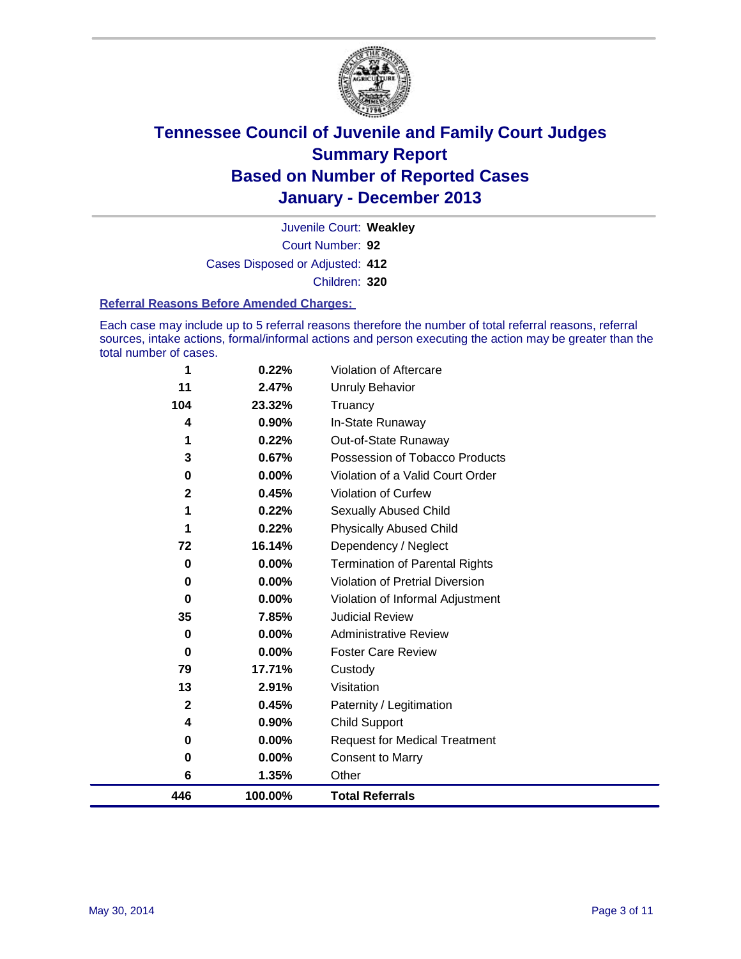

Court Number: **92** Juvenile Court: **Weakley** Cases Disposed or Adjusted: **412** Children: **320**

#### **Referral Reasons Before Amended Charges:**

Each case may include up to 5 referral reasons therefore the number of total referral reasons, referral sources, intake actions, formal/informal actions and person executing the action may be greater than the total number of cases.

| 446          | 100.00%  | <b>Total Referrals</b>                 |
|--------------|----------|----------------------------------------|
| 6            | 1.35%    | Other                                  |
| 0            | 0.00%    | Consent to Marry                       |
| 0            | 0.00%    | <b>Request for Medical Treatment</b>   |
| 4            | 0.90%    | <b>Child Support</b>                   |
| $\mathbf{2}$ | 0.45%    | Paternity / Legitimation               |
| 13           | 2.91%    | Visitation                             |
| 79           | 17.71%   | Custody                                |
| 0            | 0.00%    | <b>Foster Care Review</b>              |
| 0            | 0.00%    | <b>Administrative Review</b>           |
| 35           | 7.85%    | <b>Judicial Review</b>                 |
| 0            | 0.00%    | Violation of Informal Adjustment       |
| 0            | 0.00%    | <b>Violation of Pretrial Diversion</b> |
| 0            | $0.00\%$ | <b>Termination of Parental Rights</b>  |
| 72           | 16.14%   | Dependency / Neglect                   |
| 1            | 0.22%    | <b>Physically Abused Child</b>         |
| 1            | 0.22%    | Sexually Abused Child                  |
| $\mathbf{2}$ | 0.45%    | <b>Violation of Curfew</b>             |
| 0            | $0.00\%$ | Violation of a Valid Court Order       |
| 3            | 0.67%    | Possession of Tobacco Products         |
| 1            | 0.22%    | Out-of-State Runaway                   |
| 4            | 0.90%    | In-State Runaway                       |
| 104          | 23.32%   | Truancy                                |
| 11           | 2.47%    | <b>Unruly Behavior</b>                 |
| 1            | 0.22%    | Violation of Aftercare                 |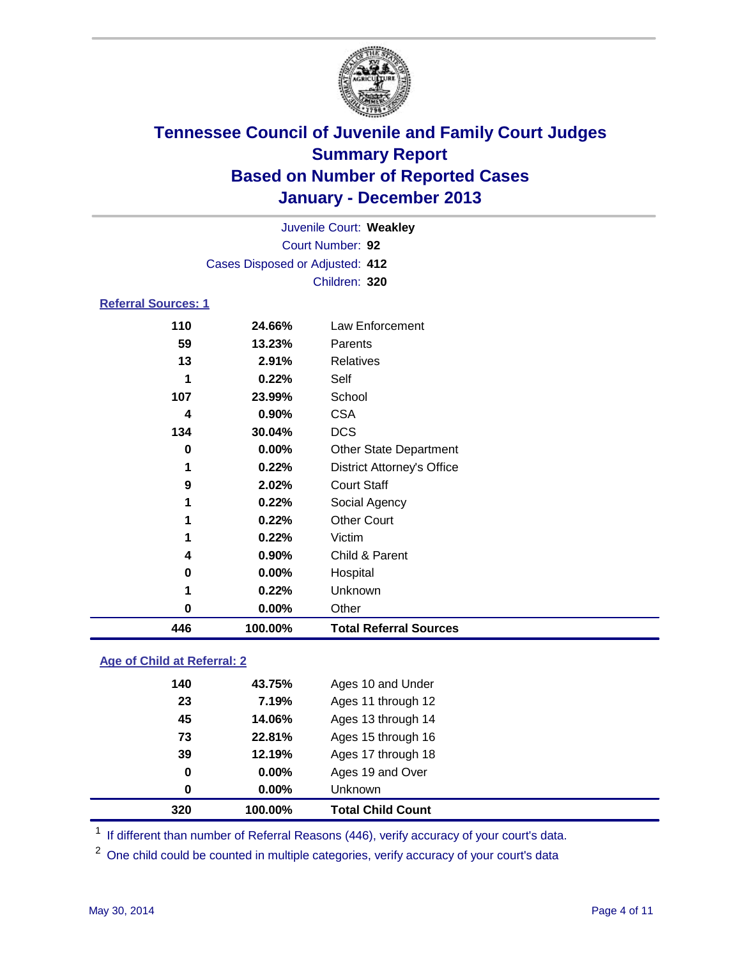

| 446                        | 100.00%                         | <b>Total Referral Sources</b>     |  |  |  |
|----------------------------|---------------------------------|-----------------------------------|--|--|--|
| 0                          | 0.00%                           | Other                             |  |  |  |
| 1                          | 0.22%                           | Unknown                           |  |  |  |
| 0                          | 0.00%                           | Hospital                          |  |  |  |
| 4                          | 0.90%                           | Child & Parent                    |  |  |  |
| 1                          | 0.22%                           | Victim                            |  |  |  |
| 1                          | 0.22%                           | <b>Other Court</b>                |  |  |  |
| 1                          | 0.22%                           | Social Agency                     |  |  |  |
| 9                          | 2.02%                           | <b>Court Staff</b>                |  |  |  |
| 1                          | 0.22%                           | <b>District Attorney's Office</b> |  |  |  |
| 0                          | $0.00\%$                        | <b>Other State Department</b>     |  |  |  |
| 134                        | 30.04%                          | <b>DCS</b>                        |  |  |  |
| 4                          | 0.90%                           | <b>CSA</b>                        |  |  |  |
| 107                        | 23.99%                          | School                            |  |  |  |
| 1                          | 0.22%                           | Self                              |  |  |  |
| 13                         | 2.91%                           | Relatives                         |  |  |  |
| 59                         | 13.23%                          | Parents                           |  |  |  |
| 110                        | 24.66%                          | Law Enforcement                   |  |  |  |
| <b>Referral Sources: 1</b> |                                 |                                   |  |  |  |
|                            |                                 | Children: 320                     |  |  |  |
|                            | Cases Disposed or Adjusted: 412 |                                   |  |  |  |
| Court Number: 92           |                                 |                                   |  |  |  |
| Juvenile Court: Weakley    |                                 |                                   |  |  |  |
|                            |                                 |                                   |  |  |  |

### **Age of Child at Referral: 2**

| 320 | 100.00%  | <b>Total Child Count</b> |
|-----|----------|--------------------------|
| 0   | 0.00%    | <b>Unknown</b>           |
| 0   | $0.00\%$ | Ages 19 and Over         |
| 39  | 12.19%   | Ages 17 through 18       |
| 73  | 22.81%   | Ages 15 through 16       |
| 45  | 14.06%   | Ages 13 through 14       |
| 23  | 7.19%    | Ages 11 through 12       |
| 140 | 43.75%   | Ages 10 and Under        |
|     |          |                          |

<sup>1</sup> If different than number of Referral Reasons (446), verify accuracy of your court's data.

<sup>2</sup> One child could be counted in multiple categories, verify accuracy of your court's data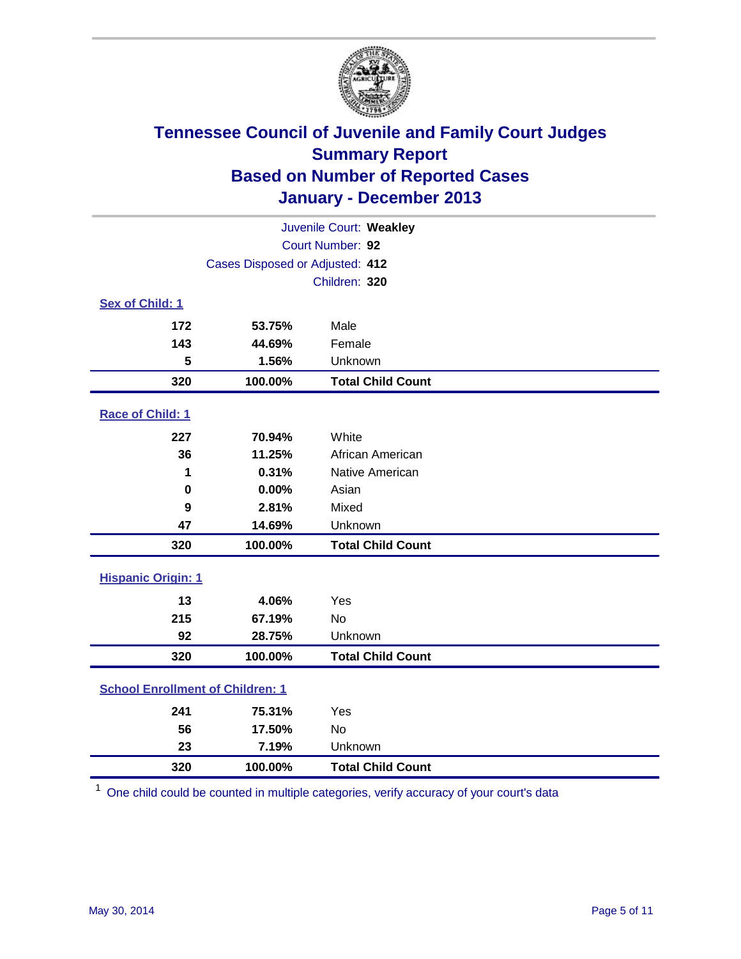

| Juvenile Court: Weakley   |                                         |                          |  |  |
|---------------------------|-----------------------------------------|--------------------------|--|--|
| Court Number: 92          |                                         |                          |  |  |
|                           | Cases Disposed or Adjusted: 412         |                          |  |  |
|                           |                                         | Children: 320            |  |  |
| Sex of Child: 1           |                                         |                          |  |  |
| 172                       | 53.75%                                  | Male                     |  |  |
| 143                       | 44.69%                                  | Female                   |  |  |
| 5                         | 1.56%                                   | Unknown                  |  |  |
| 320                       | 100.00%                                 | <b>Total Child Count</b> |  |  |
| Race of Child: 1          |                                         |                          |  |  |
| 227                       | 70.94%                                  | White                    |  |  |
| 36                        | 11.25%                                  | African American         |  |  |
| 1                         | 0.31%                                   | Native American          |  |  |
| $\mathbf 0$               | 0.00%                                   | Asian                    |  |  |
| 9                         | 2.81%                                   | Mixed                    |  |  |
| 47                        | 14.69%                                  | Unknown                  |  |  |
| 320                       | 100.00%                                 | <b>Total Child Count</b> |  |  |
| <b>Hispanic Origin: 1</b> |                                         |                          |  |  |
| 13                        | 4.06%                                   | Yes                      |  |  |
| 215                       | 67.19%                                  | No                       |  |  |
| 92                        | 28.75%                                  | Unknown                  |  |  |
| 320                       | 100.00%                                 | <b>Total Child Count</b> |  |  |
|                           | <b>School Enrollment of Children: 1</b> |                          |  |  |
| 241                       | 75.31%                                  | Yes                      |  |  |
| 56                        | 17.50%                                  | <b>No</b>                |  |  |
| 23                        | 7.19%                                   | Unknown                  |  |  |
| 320                       | 100.00%                                 | <b>Total Child Count</b> |  |  |

One child could be counted in multiple categories, verify accuracy of your court's data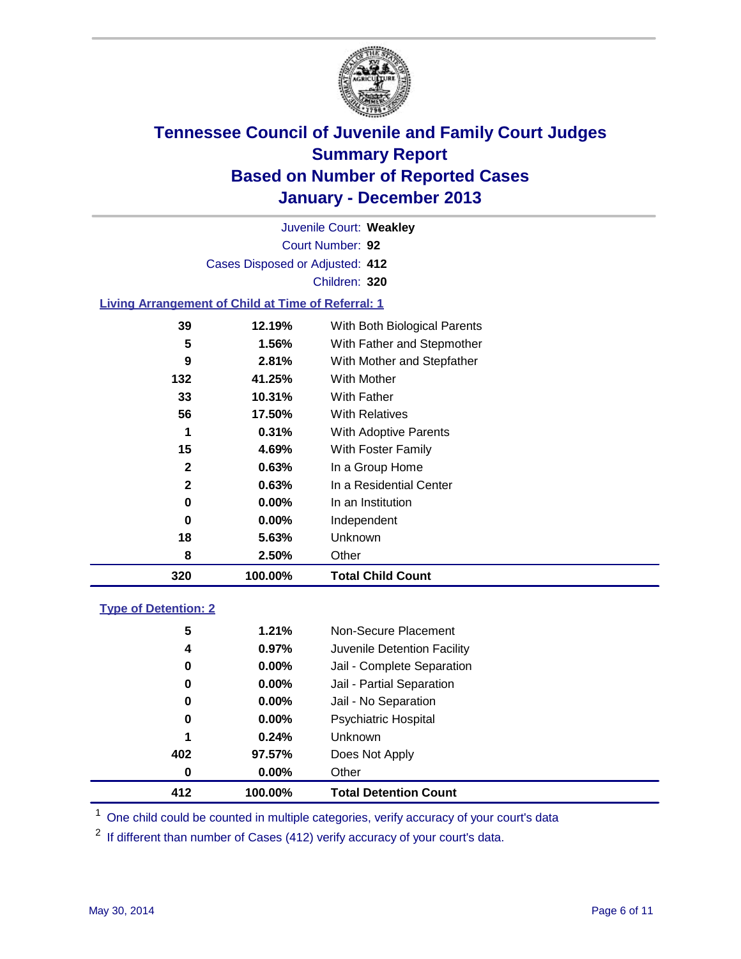

Court Number: **92** Juvenile Court: **Weakley** Cases Disposed or Adjusted: **412** Children: **320**

### **Living Arrangement of Child at Time of Referral: 1**

| 320          | 100.00%  | <b>Total Child Count</b>     |
|--------------|----------|------------------------------|
| 8            | 2.50%    | Other                        |
| 18           | 5.63%    | Unknown                      |
| 0            | $0.00\%$ | Independent                  |
| 0            | $0.00\%$ | In an Institution            |
| $\mathbf{2}$ | 0.63%    | In a Residential Center      |
| $\mathbf{2}$ | 0.63%    | In a Group Home              |
| 15           | 4.69%    | With Foster Family           |
| 1            | 0.31%    | <b>With Adoptive Parents</b> |
| 56           | 17.50%   | <b>With Relatives</b>        |
| 33           | 10.31%   | With Father                  |
| 132          | 41.25%   | With Mother                  |
| 9            | 2.81%    | With Mother and Stepfather   |
| 5            | 1.56%    | With Father and Stepmother   |
| 39           | 12.19%   | With Both Biological Parents |
|              |          |                              |

### **Type of Detention: 2**

| 412 | 100.00%       | <b>Total Detention Count</b> |
|-----|---------------|------------------------------|
|     | $0.00\%$<br>0 | Other                        |
| 402 | 97.57%        | Does Not Apply               |
|     | 1<br>0.24%    | <b>Unknown</b>               |
|     | $0.00\%$<br>0 | <b>Psychiatric Hospital</b>  |
|     | $0.00\%$<br>0 | Jail - No Separation         |
|     | 0<br>$0.00\%$ | Jail - Partial Separation    |
|     | 0.00%<br>0    | Jail - Complete Separation   |
|     | 0.97%<br>4    | Juvenile Detention Facility  |
|     | 5<br>1.21%    | Non-Secure Placement         |
|     |               |                              |

<sup>1</sup> One child could be counted in multiple categories, verify accuracy of your court's data

If different than number of Cases (412) verify accuracy of your court's data.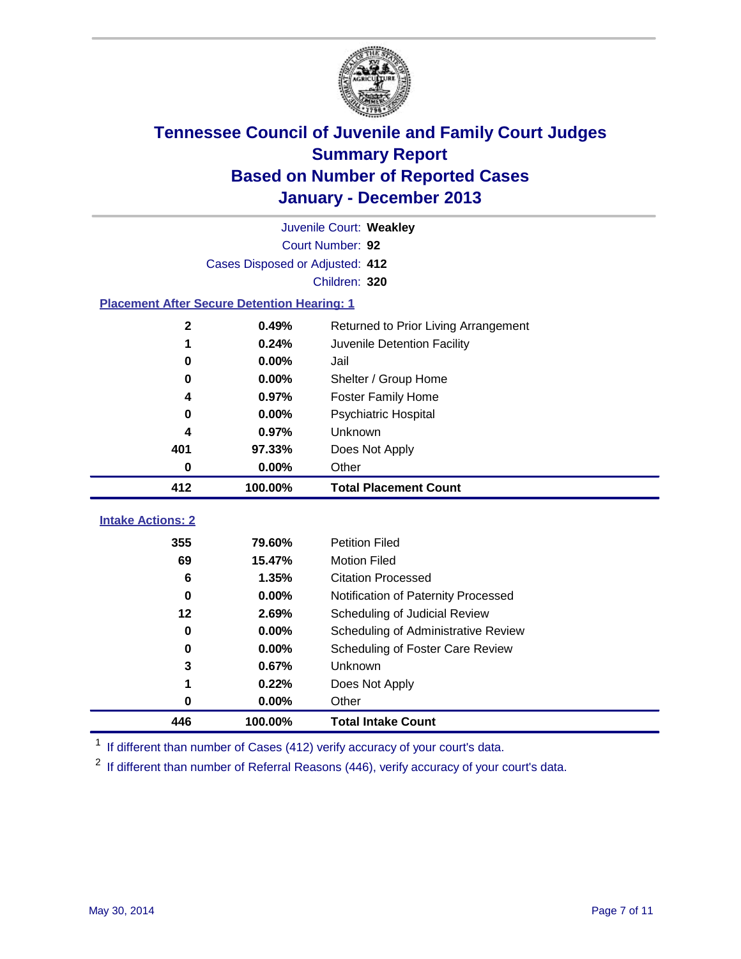

| Juvenile Court: Weakley                            |                  |                                      |  |  |  |  |  |  |
|----------------------------------------------------|------------------|--------------------------------------|--|--|--|--|--|--|
|                                                    | Court Number: 92 |                                      |  |  |  |  |  |  |
| Cases Disposed or Adjusted: 412                    |                  |                                      |  |  |  |  |  |  |
|                                                    | Children: 320    |                                      |  |  |  |  |  |  |
| <b>Placement After Secure Detention Hearing: 1</b> |                  |                                      |  |  |  |  |  |  |
| 2                                                  | 0.49%            | Returned to Prior Living Arrangement |  |  |  |  |  |  |
| 1                                                  | 0.24%            | Juvenile Detention Facility          |  |  |  |  |  |  |
| 0                                                  | 0.00%            | Jail                                 |  |  |  |  |  |  |
| 0                                                  | 0.00%            | Shelter / Group Home                 |  |  |  |  |  |  |
| 4                                                  | 0.97%            | <b>Foster Family Home</b>            |  |  |  |  |  |  |
| 0                                                  | 0.00%            | <b>Psychiatric Hospital</b>          |  |  |  |  |  |  |
| 4                                                  | 0.97%            | Unknown                              |  |  |  |  |  |  |
| 401                                                | 97.33%           | Does Not Apply                       |  |  |  |  |  |  |
| 0                                                  | 0.00%            | Other                                |  |  |  |  |  |  |
|                                                    |                  |                                      |  |  |  |  |  |  |
| 412                                                | 100.00%          | <b>Total Placement Count</b>         |  |  |  |  |  |  |
|                                                    |                  |                                      |  |  |  |  |  |  |
| <b>Intake Actions: 2</b>                           |                  |                                      |  |  |  |  |  |  |
| 355                                                | 79.60%           | <b>Petition Filed</b>                |  |  |  |  |  |  |
| 69                                                 | 15.47%           | <b>Motion Filed</b>                  |  |  |  |  |  |  |
| 6                                                  | 1.35%            | <b>Citation Processed</b>            |  |  |  |  |  |  |
| 0                                                  | 0.00%            | Notification of Paternity Processed  |  |  |  |  |  |  |
| 12                                                 | 2.69%            | Scheduling of Judicial Review        |  |  |  |  |  |  |
| $\bf{0}$                                           | 0.00%            | Scheduling of Administrative Review  |  |  |  |  |  |  |
| 0                                                  | 0.00%            | Scheduling of Foster Care Review     |  |  |  |  |  |  |
| 3                                                  | 0.67%            | Unknown                              |  |  |  |  |  |  |
| 1                                                  | 0.22%            | Does Not Apply                       |  |  |  |  |  |  |
| $\bf{0}$                                           | 0.00%            | Other                                |  |  |  |  |  |  |

<sup>1</sup> If different than number of Cases (412) verify accuracy of your court's data.

If different than number of Referral Reasons (446), verify accuracy of your court's data.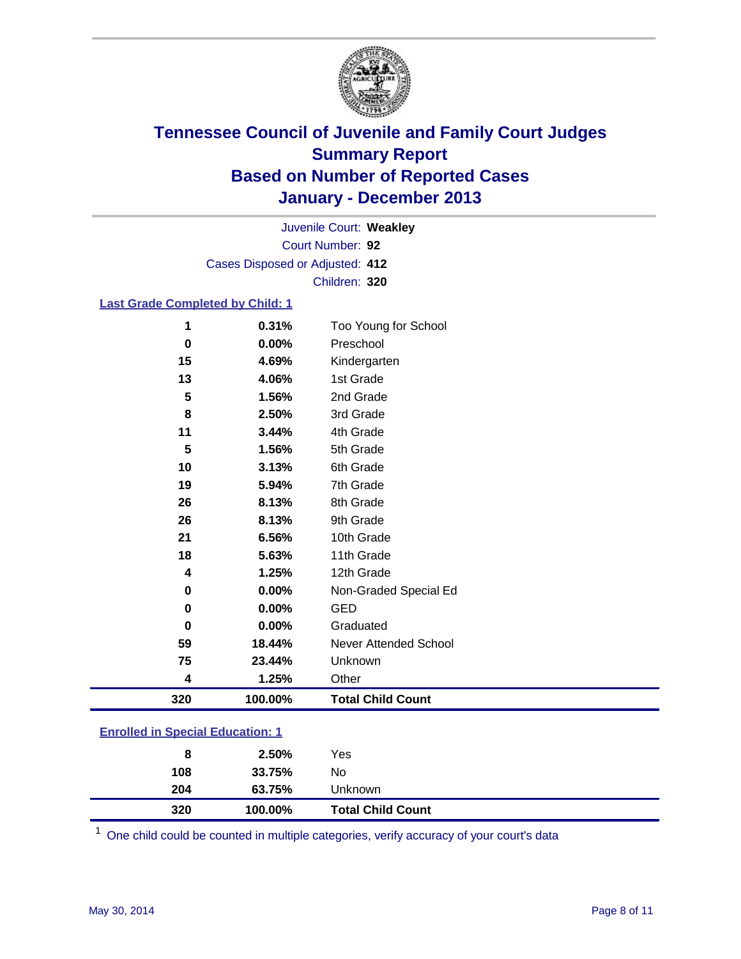

Court Number: **92** Juvenile Court: **Weakley** Cases Disposed or Adjusted: **412** Children: **320**

### **Last Grade Completed by Child: 1**

| 320      | 100.00% | <b>Total Child Count</b> |
|----------|---------|--------------------------|
| 4        | 1.25%   | Other                    |
| 75       | 23.44%  | Unknown                  |
| 59       | 18.44%  | Never Attended School    |
| 0        | 0.00%   | Graduated                |
| 0        | 0.00%   | <b>GED</b>               |
| 0        | 0.00%   | Non-Graded Special Ed    |
| 4        | 1.25%   | 12th Grade               |
| 18       | 5.63%   | 11th Grade               |
| 21       | 6.56%   | 10th Grade               |
| 26       | 8.13%   | 9th Grade                |
| 26       | 8.13%   | 8th Grade                |
| 19       | 5.94%   | 7th Grade                |
| 10       | 3.13%   | 6th Grade                |
| 5        | 1.56%   | 5th Grade                |
| 11       | 3.44%   | 4th Grade                |
| 8        | 2.50%   | 3rd Grade                |
| 5        | 1.56%   | 2nd Grade                |
| 13       | 4.06%   | 1st Grade                |
| 15       | 4.69%   | Kindergarten             |
| $\bf{0}$ | 0.00%   | Preschool                |
| 1        | 0.31%   | Too Young for School     |

| <b>Enrolled in Special Education: 1</b> |
|-----------------------------------------|
|                                         |

| 204<br>63.75%<br>Unknown |  |
|--------------------------|--|
| 108<br>No<br>33.75%      |  |
| Yes<br>2.50%<br>8        |  |

One child could be counted in multiple categories, verify accuracy of your court's data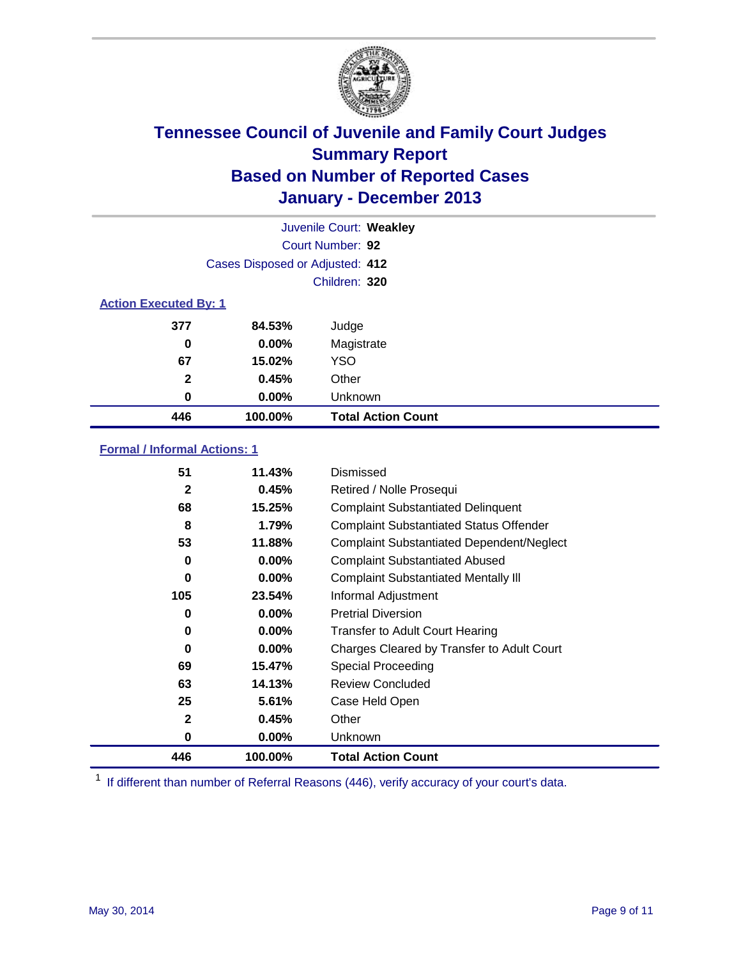

|                              |                                 | Juvenile Court: Weakley   |
|------------------------------|---------------------------------|---------------------------|
|                              |                                 | Court Number: 92          |
|                              | Cases Disposed or Adjusted: 412 |                           |
|                              |                                 | Children: 320             |
| <b>Action Executed By: 1</b> |                                 |                           |
| 377                          | 84.53%                          | Judge                     |
| 0                            | $0.00\%$                        | Magistrate                |
| 67                           | 15.02%                          | <b>YSO</b>                |
| $\mathbf{2}$                 | 0.45%                           | Other                     |
| 0                            | 0.00%                           | Unknown                   |
| 446                          | 100.00%                         | <b>Total Action Count</b> |

### **Formal / Informal Actions: 1**

| 51           | 11.43%   | Dismissed                                        |
|--------------|----------|--------------------------------------------------|
| 2            | 0.45%    | Retired / Nolle Prosequi                         |
| 68           | 15.25%   | <b>Complaint Substantiated Delinquent</b>        |
| 8            | 1.79%    | <b>Complaint Substantiated Status Offender</b>   |
| 53           | 11.88%   | <b>Complaint Substantiated Dependent/Neglect</b> |
| 0            | $0.00\%$ | <b>Complaint Substantiated Abused</b>            |
| 0            | $0.00\%$ | <b>Complaint Substantiated Mentally III</b>      |
| 105          | 23.54%   | Informal Adjustment                              |
| 0            | $0.00\%$ | <b>Pretrial Diversion</b>                        |
| 0            | $0.00\%$ | <b>Transfer to Adult Court Hearing</b>           |
| 0            | $0.00\%$ | Charges Cleared by Transfer to Adult Court       |
| 69           | 15.47%   | Special Proceeding                               |
| 63           | 14.13%   | <b>Review Concluded</b>                          |
| 25           | 5.61%    | Case Held Open                                   |
| $\mathbf{2}$ | 0.45%    | Other                                            |
| 0            | $0.00\%$ | <b>Unknown</b>                                   |
| 446          | 100.00%  | <b>Total Action Count</b>                        |

<sup>1</sup> If different than number of Referral Reasons (446), verify accuracy of your court's data.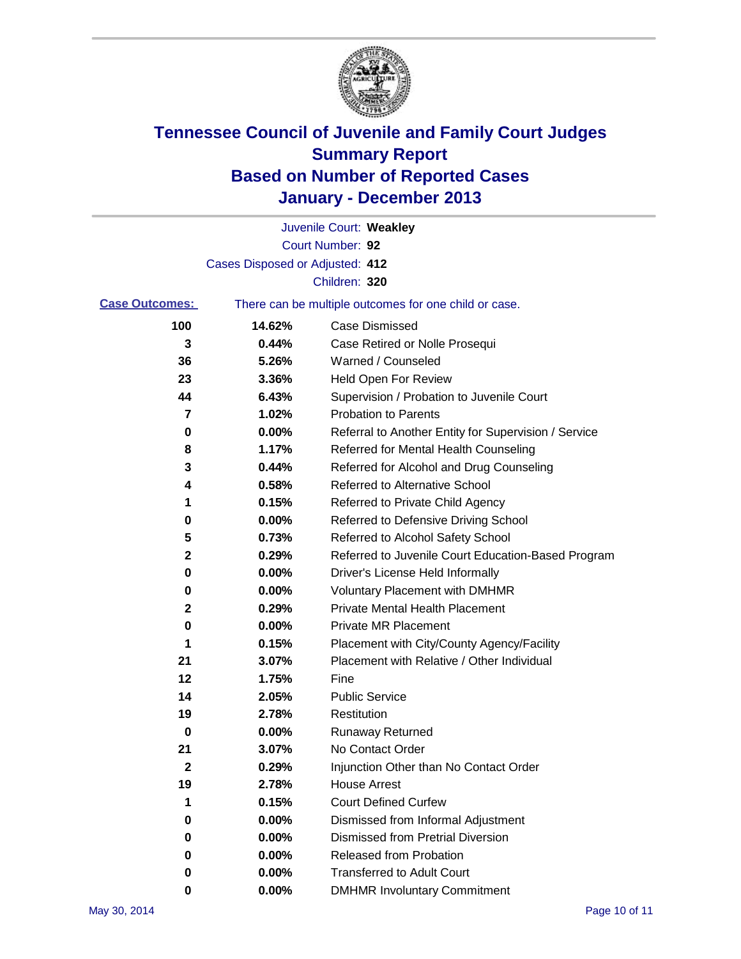

|                       |                                 | Juvenile Court: Weakley                               |
|-----------------------|---------------------------------|-------------------------------------------------------|
|                       |                                 | Court Number: 92                                      |
|                       | Cases Disposed or Adjusted: 412 |                                                       |
|                       |                                 | Children: 320                                         |
| <b>Case Outcomes:</b> |                                 | There can be multiple outcomes for one child or case. |
| 100                   | 14.62%                          | <b>Case Dismissed</b>                                 |
| 3                     | 0.44%                           | Case Retired or Nolle Prosequi                        |
| 36                    | 5.26%                           | Warned / Counseled                                    |
| 23                    | 3.36%                           | Held Open For Review                                  |
| 44                    | 6.43%                           | Supervision / Probation to Juvenile Court             |
| 7                     | 1.02%                           | <b>Probation to Parents</b>                           |
| 0                     | 0.00%                           | Referral to Another Entity for Supervision / Service  |
| 8                     | 1.17%                           | Referred for Mental Health Counseling                 |
| 3                     | 0.44%                           | Referred for Alcohol and Drug Counseling              |
| 4                     | 0.58%                           | <b>Referred to Alternative School</b>                 |
| 1                     | 0.15%                           | Referred to Private Child Agency                      |
| 0                     | 0.00%                           | Referred to Defensive Driving School                  |
| 5                     | 0.73%                           | Referred to Alcohol Safety School                     |
| 2                     | 0.29%                           | Referred to Juvenile Court Education-Based Program    |
| 0                     | 0.00%                           | Driver's License Held Informally                      |
| 0                     | 0.00%                           | <b>Voluntary Placement with DMHMR</b>                 |
| 2                     | 0.29%                           | <b>Private Mental Health Placement</b>                |
| 0                     | 0.00%                           | <b>Private MR Placement</b>                           |
| 1                     | 0.15%                           | Placement with City/County Agency/Facility            |
| 21                    | 3.07%                           | Placement with Relative / Other Individual            |
| 12                    | 1.75%                           | Fine                                                  |
| 14                    | 2.05%                           | <b>Public Service</b>                                 |
| 19                    | 2.78%                           | Restitution                                           |
| 0                     | 0.00%                           | <b>Runaway Returned</b>                               |
| 21                    | 3.07%                           | No Contact Order                                      |
| 2                     | 0.29%                           | Injunction Other than No Contact Order                |
| 19                    | 2.78%                           | <b>House Arrest</b>                                   |
| 1                     | 0.15%                           | <b>Court Defined Curfew</b>                           |
| 0                     | 0.00%                           | Dismissed from Informal Adjustment                    |
| 0                     | 0.00%                           | <b>Dismissed from Pretrial Diversion</b>              |
| 0                     | 0.00%                           | Released from Probation                               |
| 0                     | 0.00%                           | <b>Transferred to Adult Court</b>                     |
| 0                     | 0.00%                           | <b>DMHMR Involuntary Commitment</b>                   |